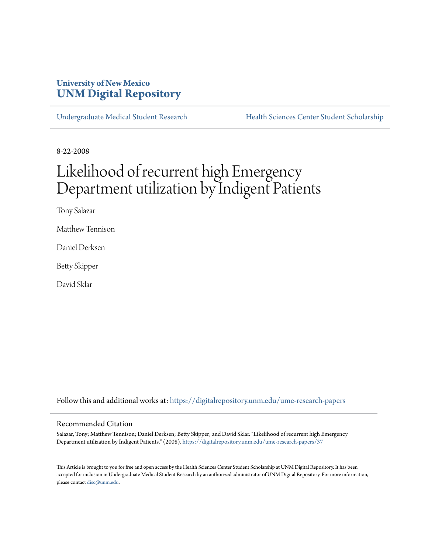## **University of New Mexico [UNM Digital Repository](https://digitalrepository.unm.edu?utm_source=digitalrepository.unm.edu%2Fume-research-papers%2F37&utm_medium=PDF&utm_campaign=PDFCoverPages)**

[Undergraduate Medical Student Research](https://digitalrepository.unm.edu/ume-research-papers?utm_source=digitalrepository.unm.edu%2Fume-research-papers%2F37&utm_medium=PDF&utm_campaign=PDFCoverPages) [Health Sciences Center Student Scholarship](https://digitalrepository.unm.edu/hsc-students?utm_source=digitalrepository.unm.edu%2Fume-research-papers%2F37&utm_medium=PDF&utm_campaign=PDFCoverPages)

8-22-2008

# Likelihood of recurrent high Emergency Department utilization by Indigent Patients

Tony Salazar

Matthew Tennison

Daniel Derksen

Betty Skipper

David Sklar

Follow this and additional works at: [https://digitalrepository.unm.edu/ume-research-papers](https://digitalrepository.unm.edu/ume-research-papers?utm_source=digitalrepository.unm.edu%2Fume-research-papers%2F37&utm_medium=PDF&utm_campaign=PDFCoverPages)

#### Recommended Citation

Salazar, Tony; Matthew Tennison; Daniel Derksen; Betty Skipper; and David Sklar. "Likelihood of recurrent high Emergency Department utilization by Indigent Patients." (2008). [https://digitalrepository.unm.edu/ume-research-papers/37](https://digitalrepository.unm.edu/ume-research-papers/37?utm_source=digitalrepository.unm.edu%2Fume-research-papers%2F37&utm_medium=PDF&utm_campaign=PDFCoverPages)

This Article is brought to you for free and open access by the Health Sciences Center Student Scholarship at UNM Digital Repository. It has been accepted for inclusion in Undergraduate Medical Student Research by an authorized administrator of UNM Digital Repository. For more information, please contact [disc@unm.edu.](mailto:disc@unm.edu)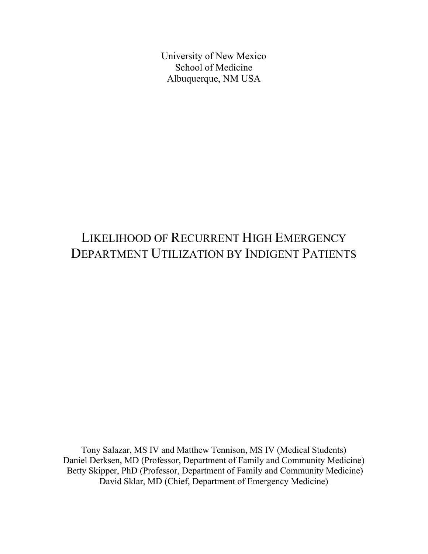University of New Mexico School of Medicine Albuquerque, NM USA

## LIKELIHOOD OF RECURRENT HIGH EMERGENCY DEPARTMENT UTILIZATION BY INDIGENT PATIENTS

Tony Salazar, MS IV and Matthew Tennison, MS IV (Medical Students) Daniel Derksen, MD (Professor, Department of Family and Community Medicine) Betty Skipper, PhD (Professor, Department of Family and Community Medicine) David Sklar, MD (Chief, Department of Emergency Medicine)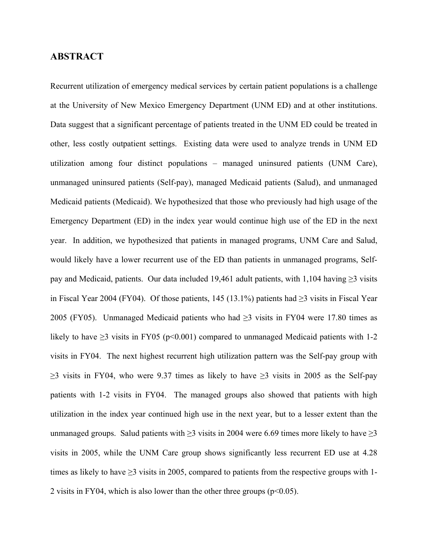### **ABSTRACT**

Recurrent utilization of emergency medical services by certain patient populations is a challenge at the University of New Mexico Emergency Department (UNM ED) and at other institutions. Data suggest that a significant percentage of patients treated in the UNM ED could be treated in other, less costly outpatient settings. Existing data were used to analyze trends in UNM ED utilization among four distinct populations – managed uninsured patients (UNM Care), unmanaged uninsured patients (Self-pay), managed Medicaid patients (Salud), and unmanaged Medicaid patients (Medicaid). We hypothesized that those who previously had high usage of the Emergency Department (ED) in the index year would continue high use of the ED in the next year. In addition, we hypothesized that patients in managed programs, UNM Care and Salud, would likely have a lower recurrent use of the ED than patients in unmanaged programs, Selfpay and Medicaid, patients. Our data included 19,461 adult patients, with 1,104 having  $\geq$ 3 visits in Fiscal Year 2004 (FY04). Of those patients, 145 (13.1%) patients had  $\geq$ 3 visits in Fiscal Year 2005 (FY05). Unmanaged Medicaid patients who had  $\geq$ 3 visits in FY04 were 17.80 times as likely to have  $\geq$ 3 visits in FY05 (p<0.001) compared to unmanaged Medicaid patients with 1-2 visits in FY04. The next highest recurrent high utilization pattern was the Self-pay group with  $\geq$ 3 visits in FY04, who were 9.37 times as likely to have  $\geq$ 3 visits in 2005 as the Self-pay patients with 1-2 visits in FY04. The managed groups also showed that patients with high utilization in the index year continued high use in the next year, but to a lesser extent than the unmanaged groups. Salud patients with  $\geq$ 3 visits in 2004 were 6.69 times more likely to have  $\geq$ 3 visits in 2005, while the UNM Care group shows significantly less recurrent ED use at 4.28 times as likely to have  $\geq$ 3 visits in 2005, compared to patients from the respective groups with 1-2 visits in FY04, which is also lower than the other three groups ( $p<0.05$ ).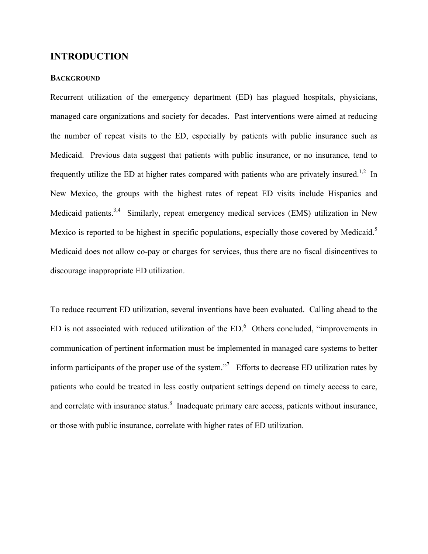## **INTRODUCTION**

#### **BACKGROUND**

Recurrent utilization of the emergency department (ED) has plagued hospitals, physicians, managed care organizations and society for decades. Past interventions were aimed at reducing the number of repeat visits to the ED, especially by patients with public insurance such as Medicaid. Previous data suggest that patients with public insurance, or no insurance, tend to frequently utilize the ED at higher rates compared with patients who are privately insured.<sup>1,2</sup> In New Mexico, the groups with the highest rates of repeat ED visits include Hispanics and Medicaid patients.<sup>3,4</sup> Similarly, repeat emergency medical services (EMS) utilization in New Mexico is reported to be highest in specific populations, especially those covered by Medicaid.<sup>5</sup> Medicaid does not allow co-pay or charges for services, thus there are no fiscal disincentives to discourage inappropriate ED utilization.

To reduce recurrent ED utilization, several inventions have been evaluated. Calling ahead to the ED is not associated with reduced utilization of the  $ED<sup>6</sup>$  Others concluded, "improvements in communication of pertinent information must be implemented in managed care systems to better inform participants of the proper use of the system."<sup>7</sup> Efforts to decrease ED utilization rates by patients who could be treated in less costly outpatient settings depend on timely access to care, and correlate with insurance status.<sup>8</sup> Inadequate primary care access, patients without insurance, or those with public insurance, correlate with higher rates of ED utilization.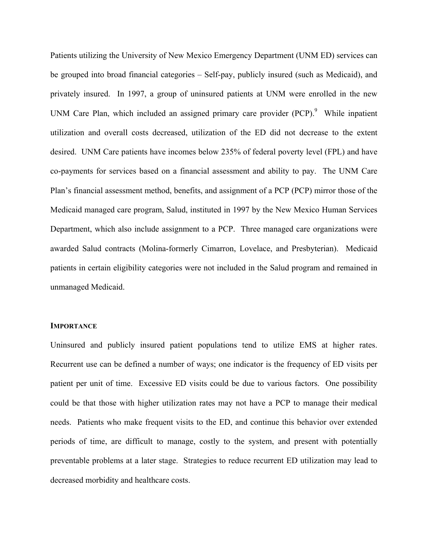Patients utilizing the University of New Mexico Emergency Department (UNM ED) services can be grouped into broad financial categories – Self-pay, publicly insured (such as Medicaid), and privately insured. In 1997, a group of uninsured patients at UNM were enrolled in the new UNM Care Plan, which included an assigned primary care provider  $(PCP)$ <sup>9</sup>. While inpatient utilization and overall costs decreased, utilization of the ED did not decrease to the extent desired. UNM Care patients have incomes below 235% of federal poverty level (FPL) and have co-payments for services based on a financial assessment and ability to pay. The UNM Care Plan's financial assessment method, benefits, and assignment of a PCP (PCP) mirror those of the Medicaid managed care program, Salud, instituted in 1997 by the New Mexico Human Services Department, which also include assignment to a PCP. Three managed care organizations were awarded Salud contracts (Molina-formerly Cimarron, Lovelace, and Presbyterian). Medicaid patients in certain eligibility categories were not included in the Salud program and remained in unmanaged Medicaid.

#### **IMPORTANCE**

Uninsured and publicly insured patient populations tend to utilize EMS at higher rates. Recurrent use can be defined a number of ways; one indicator is the frequency of ED visits per patient per unit of time. Excessive ED visits could be due to various factors. One possibility could be that those with higher utilization rates may not have a PCP to manage their medical needs. Patients who make frequent visits to the ED, and continue this behavior over extended periods of time, are difficult to manage, costly to the system, and present with potentially preventable problems at a later stage. Strategies to reduce recurrent ED utilization may lead to decreased morbidity and healthcare costs.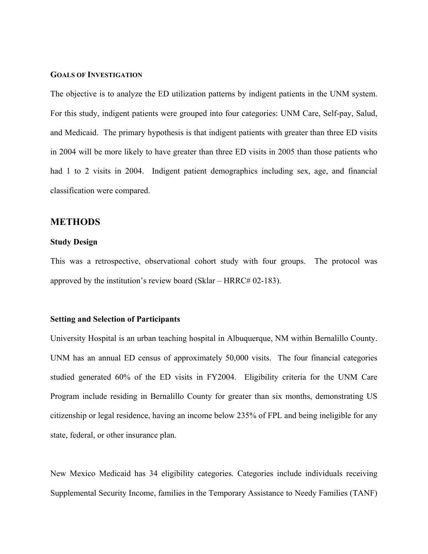#### **GOALS OF INVESTIGATION**

The objective is to analyze the ED utilization patterns by indigent patients in the UNM system. For this study, indigent patients were grouped into four categories: UNM Care, Self-pay, Salud, and Medicaid. The primary hypothesis is that indigent patients with greater than three ED visits in 2004 will be more likely to have greater than three ED visits in 2005 than those patients who had 1 to 2 visits in 2004. Indigent patient demographics including sex, age, and financial classification were compared.

#### **METHODS**

#### **Study Design**

This was a retrospective, observational cohort study with four groups. The protocol was approved by the institution's review board (Sklar – HRRC# 02-183).

#### **Setting and Selection of Participants**

University Hospital is an urban teaching hospital in Albuquerque, NM within Bernalillo County. UNM has an annual ED census of approximately 50,000 visits. The four financial categories studied generated 60% of the ED visits in FY2004. Eligibility criteria for the UNM Care Program include residing in Bernalillo County for greater than six months, demonstrating US citizenship or legal residence, having an income below 235% of FPL and being ineligible for any state, federal, or other insurance plan.

New Mexico Medicaid has 34 eligibility categories. Categories include individuals receiving Supplemental Security Income, families in the Temporary Assistance to Needy Families (TANF)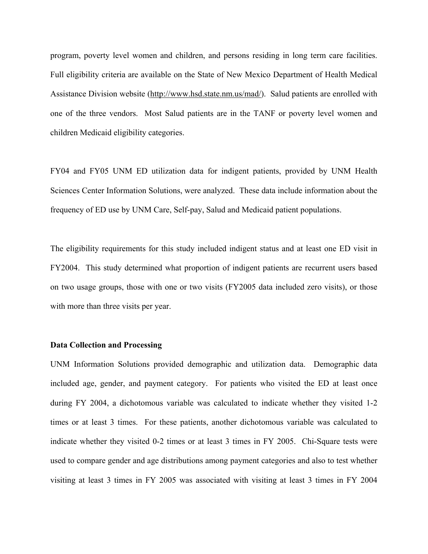program, poverty level women and children, and persons residing in long term care facilities. Full eligibility criteria are available on the State of New Mexico Department of Health Medical Assistance Division website [\(http://www.hsd.state.nm.us/mad/\)](http://www.hsd.state.nm.us/mad/). Salud patients are enrolled with one of the three vendors. Most Salud patients are in the TANF or poverty level women and children Medicaid eligibility categories.

FY04 and FY05 UNM ED utilization data for indigent patients, provided by UNM Health Sciences Center Information Solutions, were analyzed. These data include information about the frequency of ED use by UNM Care, Self-pay, Salud and Medicaid patient populations.

The eligibility requirements for this study included indigent status and at least one ED visit in FY2004. This study determined what proportion of indigent patients are recurrent users based on two usage groups, those with one or two visits (FY2005 data included zero visits), or those with more than three visits per year.

#### **Data Collection and Processing**

UNM Information Solutions provided demographic and utilization data. Demographic data included age, gender, and payment category. For patients who visited the ED at least once during FY 2004, a dichotomous variable was calculated to indicate whether they visited 1-2 times or at least 3 times. For these patients, another dichotomous variable was calculated to indicate whether they visited 0-2 times or at least 3 times in FY 2005. Chi-Square tests were used to compare gender and age distributions among payment categories and also to test whether visiting at least 3 times in FY 2005 was associated with visiting at least 3 times in FY 2004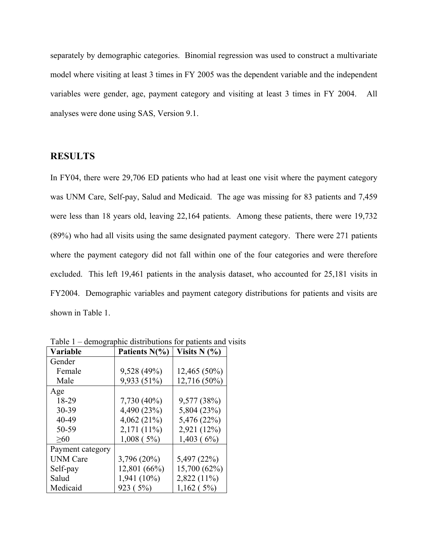separately by demographic categories. Binomial regression was used to construct a multivariate model where visiting at least 3 times in FY 2005 was the dependent variable and the independent variables were gender, age, payment category and visiting at least 3 times in FY 2004. All analyses were done using SAS, Version 9.1.

## **RESULTS**

In FY04, there were 29,706 ED patients who had at least one visit where the payment category was UNM Care, Self-pay, Salud and Medicaid. The age was missing for 83 patients and 7,459 were less than 18 years old, leaving 22,164 patients. Among these patients, there were 19,732 (89%) who had all visits using the same designated payment category. There were 271 patients where the payment category did not fall within one of the four categories and were therefore excluded. This left 19,461 patients in the analysis dataset, who accounted for 25,181 visits in FY2004. Demographic variables and payment category distributions for patients and visits are shown in Table 1.

| Variable         | Patients N(%) | Visits $N$ $(\% )$ |
|------------------|---------------|--------------------|
| Gender           |               |                    |
| Female           | 9,528 (49%)   | 12,465 (50%)       |
| Male             | 9,933 (51%)   | 12,716 (50%)       |
| Age              |               |                    |
| 18-29            | 7,730 (40%)   | 9,577 (38%)        |
| 30-39            | 4,490 (23%)   | 5,804 (23%)        |
| 40-49            | $4,062(21\%)$ | 5,476 (22%)        |
| 50-59            | 2,171 (11%)   | 2,921 (12%)        |
| >60              | $1,008$ (5%)  | 1,403(6%)          |
| Payment category |               |                    |
| <b>UNM</b> Care  | 3,796 (20%)   | 5,497 (22%)        |
| Self-pay         | 12,801 (66%)  | 15,700 (62%)       |
| Salud            | 1,941 (10%)   | 2,822 (11%)        |
| Medicaid         | 923 (5%)      | 1,162(5%)          |

Table 1 – demographic distributions for patients and visits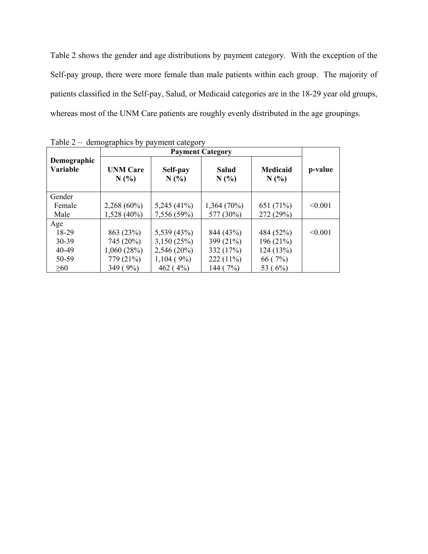Table 2 shows the gender and age distributions by payment category. With the exception of the Self-pay group, there were more female than male patients within each group. The majority of patients classified in the Self-pay, Salud, or Medicaid categories are in the 18-29 year old groups, whereas most of the UNM Care patients are roughly evenly distributed in the age groupings.

|                                | $1$ ave $2 -$ defined applies by payment category |               |               |                        |         |
|--------------------------------|---------------------------------------------------|---------------|---------------|------------------------|---------|
| Demographic<br><b>Variable</b> | <b>UNM Care</b><br>Self-pay<br>N(%<br>N(%         |               | Salud<br>N(%  | <b>Medicaid</b><br>N(% | p-value |
| Gender                         |                                                   |               |               |                        |         |
| Female                         | $2,268(60\%)$                                     | $5,245(41\%)$ | $1,364(70\%)$ | 651 (71%)              | < 0.001 |
| Male                           | $1,528(40\%)$                                     | 7,556 (59%)   | 577 (30%)     | 272 (29%)              |         |
| Age                            |                                                   |               |               |                        |         |
| 18-29                          | 863 (23%)                                         | 5,539 (43%)   | 844 (43%)     | 484 (52%)              | < 0.001 |
| 30-39                          | 745 (20%)                                         | 3,150(25%)    | 399 (21%)     | 196 (21%)              |         |
| 40-49                          | 1,060(28%)                                        | 2,546 (20%)   | 332 (17%)     | 124(13%)               |         |
| 50-59                          | 779 (21%)                                         | $1,104(9\%)$  | $222(11\%)$   | 66(7%)                 |         |
| $\geq 60$                      | 349 (9%)                                          | 462 $(4\%)$   | 144 (7%)      | 53 (6%)                |         |

Table 2 – demographics by payment category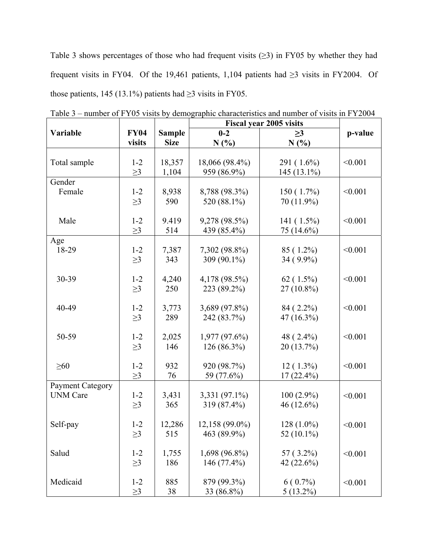Table 3 shows percentages of those who had frequent visits  $(\geq 3)$  in FY05 by whether they had frequent visits in FY04. Of the 19,461 patients, 1,104 patients had ≥3 visits in FY2004. Of those patients, 145 (13.1%) patients had  $\geq$ 3 visits in FY05.

|                         |             |               | <b>Fiscal year 2005 visits</b> |               |         |
|-------------------------|-------------|---------------|--------------------------------|---------------|---------|
| Variable                | <b>FY04</b> | <b>Sample</b> | $0 - 2$                        | $\geq$ 3      | p-value |
|                         | visits      | <b>Size</b>   | N(%)                           | N(%)          |         |
|                         |             |               |                                |               |         |
| Total sample            | $1 - 2$     | 18,357        | 18,066 (98.4%)                 | 291 (1.6%)    | < 0.001 |
|                         | $\geq$ 3    | 1,104         | 959 (86.9%)                    | 145 (13.1%)   |         |
| Gender                  |             |               |                                |               |         |
| Female                  | $1 - 2$     | 8,938         | 8,788 (98.3%)                  | $150(1.7\%)$  | < 0.001 |
|                         |             |               |                                |               |         |
|                         | $\geq$ 3    | 590           | 520 (88.1%)                    | 70 (11.9%)    |         |
|                         |             |               |                                |               |         |
| Male                    | $1 - 2$     | 9.419         | 9,278 (98.5%)                  | 141 (1.5%)    | < 0.001 |
|                         | $\geq$ 3    | 514           | 439 (85.4%)                    | 75 (14.6%)    |         |
| Age                     |             |               |                                |               |         |
| 18-29                   | $1 - 2$     | 7,387         | 7,302 (98.8%)                  | 85 (1.2%)     | < 0.001 |
|                         | $\geq$ 3    | 343           | 309 (90.1%)                    | 34 (9.9%)     |         |
|                         |             |               |                                |               |         |
| 30-39                   | $1 - 2$     | 4,240         | 4,178 (98.5%)                  | $62(1.5\%)$   | < 0.001 |
|                         | $\geq$ 3    | 250           | 223 (89.2%)                    | $27(10.8\%)$  |         |
|                         |             |               |                                |               |         |
| 40-49                   | $1 - 2$     | 3,773         | 3,689 (97.8%)                  | 84 (2.2%)     | < 0.001 |
|                         | $\geq$ 3    | 289           | 242 (83.7%)                    | 47 (16.3%)    |         |
|                         |             |               |                                |               |         |
| 50-59                   | $1 - 2$     | 2,025         | $1,977(97.6\%)$                | 48 (2.4%)     | < 0.001 |
|                         |             | 146           |                                | 20 (13.7%)    |         |
|                         | $\geq$ 3    |               | 126 (86.3%)                    |               |         |
|                         |             |               |                                |               |         |
| $\geq 60$               | $1 - 2$     | 932           | 920 (98.7%)                    | $12(1.3\%)$   | < 0.001 |
|                         | $\geq$ 3    | 76            | 59 (77.6%)                     | $17(22.4\%)$  |         |
| <b>Payment Category</b> |             |               |                                |               |         |
| <b>UNM Care</b>         | $1 - 2$     | 3,431         | 3,331 (97.1%)                  | $100(2.9\%)$  | < 0.001 |
|                         | $\geq$ 3    | 365           | 319 (87.4%)                    | 46 (12.6%)    |         |
|                         |             |               |                                |               |         |
| Self-pay                | $1 - 2$     | 12,286        | 12,158 (99.0%)                 | $128(1.0\%)$  | < 0.001 |
|                         | $\geq$ 3    | 515           | 463 (89.9%)                    | 52 $(10.1\%)$ |         |
|                         |             |               |                                |               |         |
| Salud                   | $1 - 2$     | 1,755         | 1,698 (96.8%)                  | $57(3.2\%)$   | < 0.001 |
|                         | $\geq$ 3    | 186           | 146 (77.4%)                    | 42(22.6%)     |         |
|                         |             |               |                                |               |         |
| Medicaid                | $1 - 2$     | 885           | 879 (99.3%)                    | $6(0.7\%)$    |         |
|                         |             |               |                                |               | < 0.001 |
|                         | $\geq$ 3    | 38            | 33 (86.8%)                     | $5(13.2\%)$   |         |

Table 3 – number of FY05 visits by demographic characteristics and number of visits in FY2004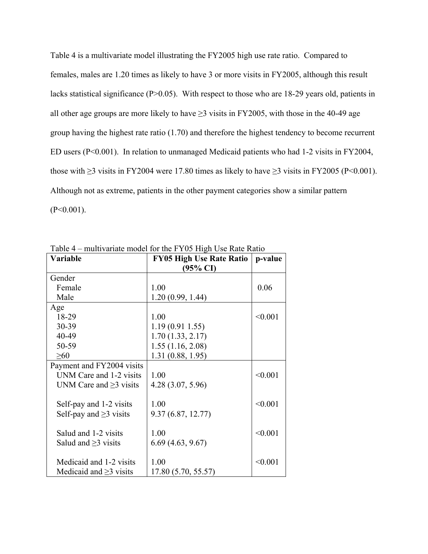Table 4 is a multivariate model illustrating the FY2005 high use rate ratio. Compared to females, males are 1.20 times as likely to have 3 or more visits in FY2005, although this result lacks statistical significance (P>0.05). With respect to those who are 18-29 years old, patients in all other age groups are more likely to have  $\geq$ 3 visits in FY2005, with those in the 40-49 age group having the highest rate ratio (1.70) and therefore the highest tendency to become recurrent ED users (P<0.001). In relation to unmanaged Medicaid patients who had 1-2 visits in FY2004, those with  $\geq$ 3 visits in FY2004 were 17.80 times as likely to have  $\geq$ 3 visits in FY2005 (P<0.001). Although not as extreme, patients in the other payment categories show a similar pattern  $(P<0.001)$ .

| Variable                     | <b>FY05 High Use Rate Ratio</b> | p-value |
|------------------------------|---------------------------------|---------|
|                              | (95% CI)                        |         |
| Gender                       |                                 |         |
| Female                       | 1.00                            | 0.06    |
| Male                         | 1.20(0.99, 1.44)                |         |
| Age                          |                                 |         |
| 18-29                        | 1.00                            | < 0.001 |
| 30-39                        | 1.19(0.911.55)                  |         |
| 40-49                        | 1.70(1.33, 2.17)                |         |
| 50-59                        | 1.55(1.16, 2.08)                |         |
| $\geq 60$                    | 1.31(0.88, 1.95)                |         |
| Payment and FY2004 visits    |                                 |         |
| UNM Care and 1-2 visits      | 1.00                            | < 0.001 |
| UNM Care and $\geq$ 3 visits | 4.28(3.07, 5.96)                |         |
|                              |                                 |         |
| Self-pay and 1-2 visits      | 1.00                            | < 0.001 |
| Self-pay and $\geq$ 3 visits | 9.37(6.87, 12.77)               |         |
|                              |                                 |         |
| Salud and 1-2 visits         | 1.00                            | < 0.001 |
| Salud and $\geq$ 3 visits    | 6.69(4.63, 9.67)                |         |
|                              |                                 |         |
| Medicaid and 1-2 visits      | 1.00                            | < 0.001 |
| Medicaid and $\geq$ 3 visits | 17.80 (5.70, 55.57)             |         |

Table 4 – multivariate model for the FY05 High Use Rate Ratio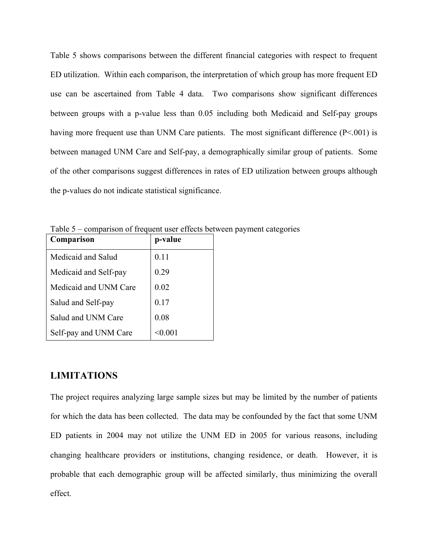Table 5 shows comparisons between the different financial categories with respect to frequent ED utilization. Within each comparison, the interpretation of which group has more frequent ED use can be ascertained from Table 4 data. Two comparisons show significant differences between groups with a p-value less than 0.05 including both Medicaid and Self-pay groups having more frequent use than UNM Care patients. The most significant difference (P<.001) is between managed UNM Care and Self-pay, a demographically similar group of patients. Some of the other comparisons suggest differences in rates of ED utilization between groups although the p-values do not indicate statistical significance.

| Comparison            | p-value |
|-----------------------|---------|
| Medicaid and Salud    | 0.11    |
| Medicaid and Self-pay | 0.29    |
| Medicaid and UNM Care | 0.02    |
| Salud and Self-pay    | 0.17    |
| Salud and UNM Care    | 0.08    |
| Self-pay and UNM Care |         |

Table 5 – comparison of frequent user effects between payment categories

#### **LIMITATIONS**

The project requires analyzing large sample sizes but may be limited by the number of patients for which the data has been collected. The data may be confounded by the fact that some UNM ED patients in 2004 may not utilize the UNM ED in 2005 for various reasons, including changing healthcare providers or institutions, changing residence, or death. However, it is probable that each demographic group will be affected similarly, thus minimizing the overall effect.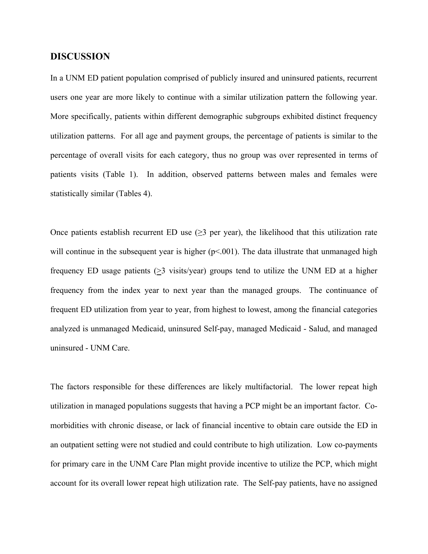#### **DISCUSSION**

In a UNM ED patient population comprised of publicly insured and uninsured patients, recurrent users one year are more likely to continue with a similar utilization pattern the following year. More specifically, patients within different demographic subgroups exhibited distinct frequency utilization patterns. For all age and payment groups, the percentage of patients is similar to the percentage of overall visits for each category, thus no group was over represented in terms of patients visits (Table 1). In addition, observed patterns between males and females were statistically similar (Tables 4).

Once patients establish recurrent ED use  $(\geq 3$  per year), the likelihood that this utilization rate will continue in the subsequent year is higher  $(p<.001)$ . The data illustrate that unmanaged high frequency ED usage patients (>3 visits/year) groups tend to utilize the UNM ED at a higher frequency from the index year to next year than the managed groups. The continuance of frequent ED utilization from year to year, from highest to lowest, among the financial categories analyzed is unmanaged Medicaid, uninsured Self-pay, managed Medicaid - Salud, and managed uninsured - UNM Care.

The factors responsible for these differences are likely multifactorial. The lower repeat high utilization in managed populations suggests that having a PCP might be an important factor. Comorbidities with chronic disease, or lack of financial incentive to obtain care outside the ED in an outpatient setting were not studied and could contribute to high utilization. Low co-payments for primary care in the UNM Care Plan might provide incentive to utilize the PCP, which might account for its overall lower repeat high utilization rate. The Self-pay patients, have no assigned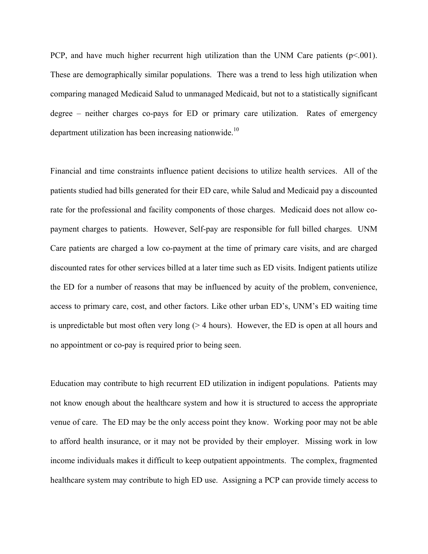PCP, and have much higher recurrent high utilization than the UNM Care patients  $(p<.001)$ . These are demographically similar populations. There was a trend to less high utilization when comparing managed Medicaid Salud to unmanaged Medicaid, but not to a statistically significant degree – neither charges co-pays for ED or primary care utilization. Rates of emergency department utilization has been increasing nationwide.<sup>10</sup>

Financial and time constraints influence patient decisions to utilize health services. All of the patients studied had bills generated for their ED care, while Salud and Medicaid pay a discounted rate for the professional and facility components of those charges. Medicaid does not allow copayment charges to patients. However, Self-pay are responsible for full billed charges. UNM Care patients are charged a low co-payment at the time of primary care visits, and are charged discounted rates for other services billed at a later time such as ED visits. Indigent patients utilize the ED for a number of reasons that may be influenced by acuity of the problem, convenience, access to primary care, cost, and other factors. Like other urban ED's, UNM's ED waiting time is unpredictable but most often very long (> 4 hours). However, the ED is open at all hours and no appointment or co-pay is required prior to being seen.

Education may contribute to high recurrent ED utilization in indigent populations. Patients may not know enough about the healthcare system and how it is structured to access the appropriate venue of care. The ED may be the only access point they know. Working poor may not be able to afford health insurance, or it may not be provided by their employer. Missing work in low income individuals makes it difficult to keep outpatient appointments. The complex, fragmented healthcare system may contribute to high ED use. Assigning a PCP can provide timely access to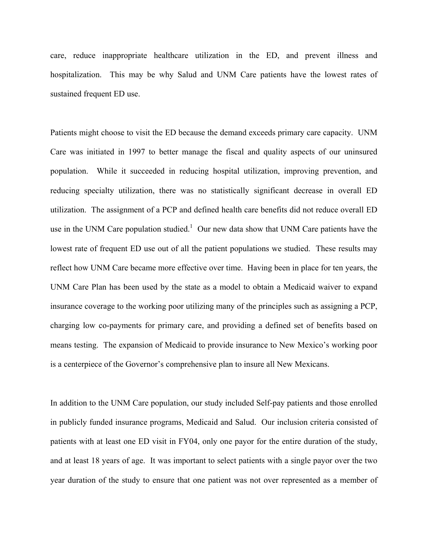care, reduce inappropriate healthcare utilization in the ED, and prevent illness and hospitalization. This may be why Salud and UNM Care patients have the lowest rates of sustained frequent ED use.

Patients might choose to visit the ED because the demand exceeds primary care capacity. UNM Care was initiated in 1997 to better manage the fiscal and quality aspects of our uninsured population. While it succeeded in reducing hospital utilization, improving prevention, and reducing specialty utilization, there was no statistically significant decrease in overall ED utilization. The assignment of a PCP and defined health care benefits did not reduce overall ED use in the UNM Care population studied.<sup>1</sup> Our new data show that UNM Care patients have the lowest rate of frequent ED use out of all the patient populations we studied. These results may reflect how UNM Care became more effective over time. Having been in place for ten years, the UNM Care Plan has been used by the state as a model to obtain a Medicaid waiver to expand insurance coverage to the working poor utilizing many of the principles such as assigning a PCP, charging low co-payments for primary care, and providing a defined set of benefits based on means testing. The expansion of Medicaid to provide insurance to New Mexico's working poor is a centerpiece of the Governor's comprehensive plan to insure all New Mexicans.

In addition to the UNM Care population, our study included Self-pay patients and those enrolled in publicly funded insurance programs, Medicaid and Salud. Our inclusion criteria consisted of patients with at least one ED visit in FY04, only one payor for the entire duration of the study, and at least 18 years of age. It was important to select patients with a single payor over the two year duration of the study to ensure that one patient was not over represented as a member of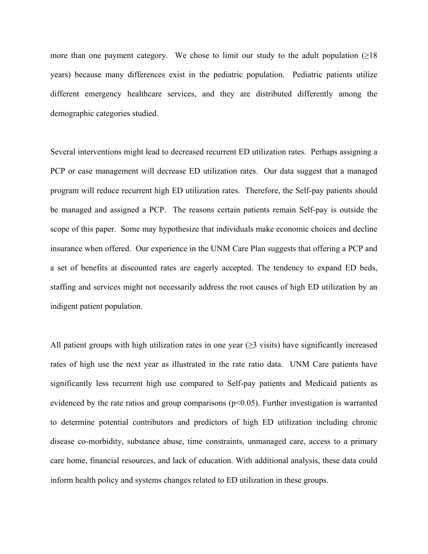more than one payment category. We chose to limit our study to the adult population  $(\geq 18)$ years) because many differences exist in the pediatric population. Pediatric patients utilize different emergency healthcare services, and they are distributed differently among the demographic categories studied.

Several interventions might lead to decreased recurrent ED utilization rates. Perhaps assigning a PCP or case management will decrease ED utilization rates. Our data suggest that a managed program will reduce recurrent high ED utilization rates. Therefore, the Self-pay patients should be managed and assigned a PCP. The reasons certain patients remain Self-pay is outside the scope of this paper. Some may hypothesize that individuals make economic choices and decline insurance when offered. Our experience in the UNM Care Plan suggests that offering a PCP and a set of benefits at discounted rates are eagerly accepted. The tendency to expand ED beds, staffing and services might not necessarily address the root causes of high ED utilization by an indigent patient population.

All patient groups with high utilization rates in one year  $(\geq 3$  visits) have significantly increased rates of high use the next year as illustrated in the rate ratio data. UNM Care patients have significantly less recurrent high use compared to Self-pay patients and Medicaid patients as evidenced by the rate ratios and group comparisons ( $p<0.05$ ). Further investigation is warranted to determine potential contributors and predictors of high ED utilization including chronic disease co-morbidity, substance abuse, time constraints, unmanaged care, access to a primary care home, financial resources, and lack of education. With additional analysis, these data could inform health policy and systems changes related to ED utilization in these groups.